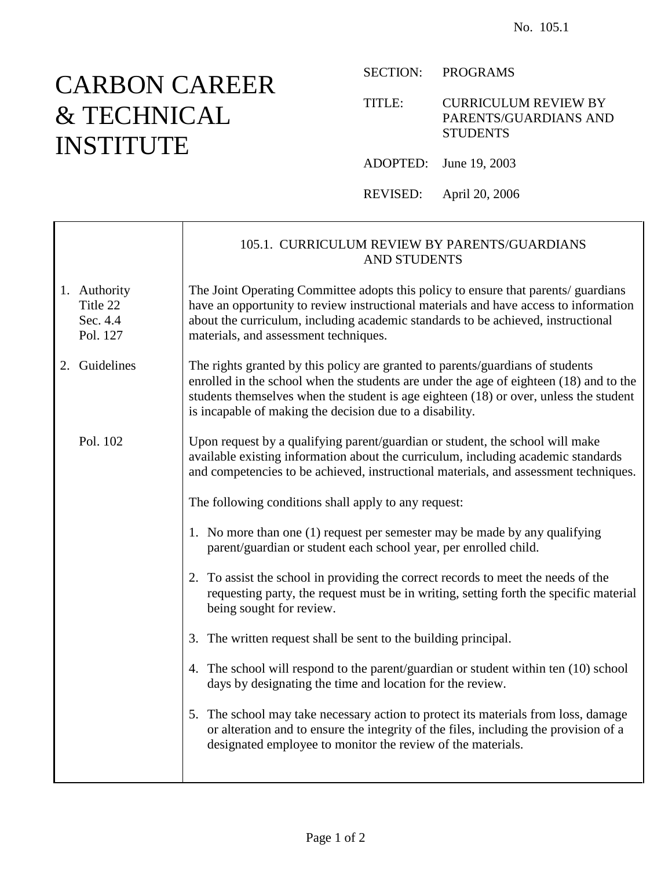## CARBON CAREER & TECHNICAL INSTITUTE

 $\mathbf{I}$ 

Г

SECTION: PROGRAMS

TITLE: CURRICULUM REVIEW BY PARENTS/GUARDIANS AND **STUDENTS** 

ADOPTED: June 19, 2003

REVISED: April 20, 2006

|                                                  | 105.1. CURRICULUM REVIEW BY PARENTS/GUARDIANS<br><b>AND STUDENTS</b>                                                                                                                                                                                                                                                          |
|--------------------------------------------------|-------------------------------------------------------------------------------------------------------------------------------------------------------------------------------------------------------------------------------------------------------------------------------------------------------------------------------|
| 1. Authority<br>Title 22<br>Sec. 4.4<br>Pol. 127 | The Joint Operating Committee adopts this policy to ensure that parents/ guardians<br>have an opportunity to review instructional materials and have access to information<br>about the curriculum, including academic standards to be achieved, instructional<br>materials, and assessment techniques.                       |
| 2. Guidelines                                    | The rights granted by this policy are granted to parents/guardians of students<br>enrolled in the school when the students are under the age of eighteen (18) and to the<br>students themselves when the student is age eighteen (18) or over, unless the student<br>is incapable of making the decision due to a disability. |
| Pol. 102                                         | Upon request by a qualifying parent/guardian or student, the school will make<br>available existing information about the curriculum, including academic standards<br>and competencies to be achieved, instructional materials, and assessment techniques.                                                                    |
|                                                  | The following conditions shall apply to any request:                                                                                                                                                                                                                                                                          |
|                                                  | 1. No more than one (1) request per semester may be made by any qualifying<br>parent/guardian or student each school year, per enrolled child.                                                                                                                                                                                |
|                                                  | 2. To assist the school in providing the correct records to meet the needs of the<br>requesting party, the request must be in writing, setting forth the specific material<br>being sought for review.                                                                                                                        |
|                                                  | 3. The written request shall be sent to the building principal.                                                                                                                                                                                                                                                               |
|                                                  | 4. The school will respond to the parent/guardian or student within ten (10) school<br>days by designating the time and location for the review.                                                                                                                                                                              |
|                                                  | 5. The school may take necessary action to protect its materials from loss, damage<br>or alteration and to ensure the integrity of the files, including the provision of a<br>designated employee to monitor the review of the materials.                                                                                     |
|                                                  |                                                                                                                                                                                                                                                                                                                               |